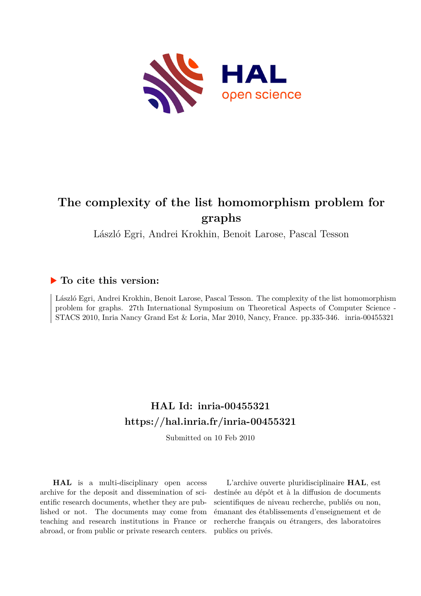

# **The complexity of the list homomorphism problem for graphs**

László Egri, Andrei Krokhin, Benoit Larose, Pascal Tesson

## **To cite this version:**

László Egri, Andrei Krokhin, Benoit Larose, Pascal Tesson. The complexity of the list homomorphism problem for graphs. 27th International Symposium on Theoretical Aspects of Computer Science - STACS 2010, Inria Nancy Grand Est & Loria, Mar 2010, Nancy, France. pp.335-346. inria-00455321

# **HAL Id: inria-00455321 <https://hal.inria.fr/inria-00455321>**

Submitted on 10 Feb 2010

**HAL** is a multi-disciplinary open access archive for the deposit and dissemination of scientific research documents, whether they are published or not. The documents may come from teaching and research institutions in France or abroad, or from public or private research centers.

L'archive ouverte pluridisciplinaire **HAL**, est destinée au dépôt et à la diffusion de documents scientifiques de niveau recherche, publiés ou non, émanant des établissements d'enseignement et de recherche français ou étrangers, des laboratoires publics ou privés.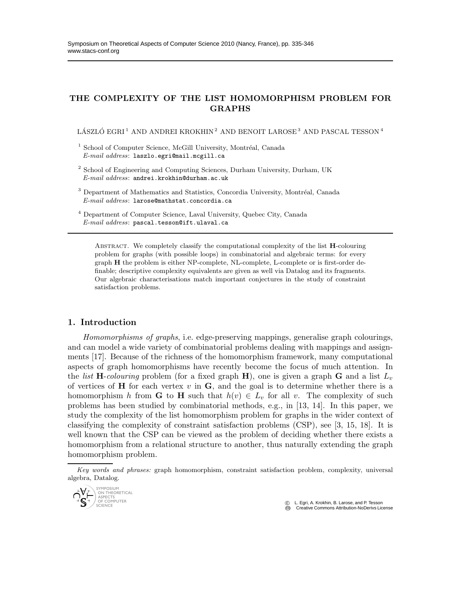### THE COMPLEXITY OF THE LIST HOMOMORPHISM PROBLEM FOR GRAPHS

LÁSZLÓ EGRI $^1$  AND ANDREI KROKHIN<sup>2</sup> AND BENOIT LAROSE<sup>3</sup> AND PASCAL TESSON<sup>4</sup>

- <sup>2</sup> School of Engineering and Computing Sciences, Durham University, Durham, UK *E-mail address*: andrei.krokhin@durham.ac.uk
- <sup>3</sup> Department of Mathematics and Statistics, Concordia University, Montréal, Canada *E-mail address*: larose@mathstat.concordia.ca
- <sup>4</sup> Department of Computer Science, Laval University, Quebec City, Canada *E-mail address*: pascal.tesson@ift.ulaval.ca

Abstract. We completely classify the computational complexity of the list H-colouring problem for graphs (with possible loops) in combinatorial and algebraic terms: for every graph H the problem is either NP-complete, NL-complete, L-complete or is first-order definable; descriptive complexity equivalents are given as well via Datalog and its fragments. Our algebraic characterisations match important conjectures in the study of constraint satisfaction problems.

### 1. Introduction

*Homomorphisms of graphs*, i.e. edge-preserving mappings, generalise graph colourings, and can model a wide variety of combinatorial problems dealing with mappings and assignments [17]. Because of the richness of the homomorphism framework, many computational aspects of graph homomorphisms have recently become the focus of much attention. In the *list* **H**-colouring problem (for a fixed graph **H**), one is given a graph **G** and a list  $L_v$ of vertices of  $H$  for each vertex  $v$  in  $G$ , and the goal is to determine whether there is a homomorphism h from G to H such that  $h(v) \in L_v$  for all v. The complexity of such problems has been studied by combinatorial methods, e.g., in [13, 14]. In this paper, we study the complexity of the list homomorphism problem for graphs in the wider context of classifying the complexity of constraint satisfaction problems (CSP), see [3, 15, 18]. It is well known that the CSP can be viewed as the problem of deciding whether there exists a homomorphism from a relational structure to another, thus naturally extending the graph homomorphism problem.

 c L. Egri, A. Krokhin, B. Larose, and P. Tesson **Creative Commons Attribution-NoDerivs License** 

<sup>&</sup>lt;sup>1</sup> School of Computer Science, McGill University, Montréal, Canada *E-mail address*: laszlo.egri@mail.mcgill.ca

*Key words and phrases:* graph homomorphism, constraint satisfaction problem, complexity, universal algebra, Datalog.

STIPIPOSIOPI<br>ON THEORETICAL<br>ASPECTS<br>OF COMPUTER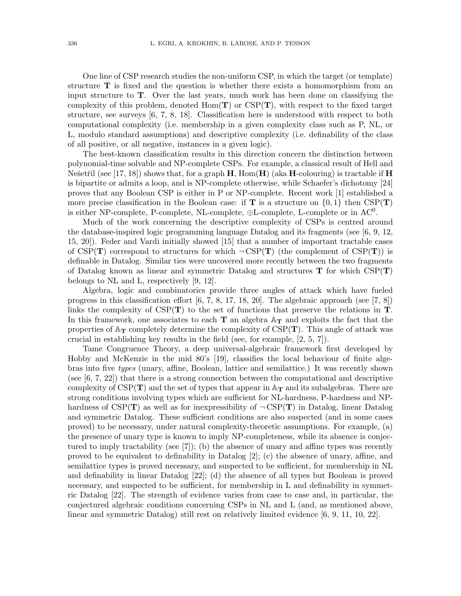One line of CSP research studies the non-uniform CSP, in which the target (or template) structure  $T$  is fixed and the question is whether there exists a homomorphism from an input structure to T. Over the last years, much work has been done on classifying the complexity of this problem, denoted  $Hom(T)$  or  $CSP(T)$ , with respect to the fixed target structure, see surveys [6, 7, 8, 18]. Classification here is understood with respect to both computational complexity (i.e. membership in a given complexity class such as P, NL, or L, modulo standard assumptions) and descriptive complexity (i.e. definability of the class of all positive, or all negative, instances in a given logic).

The best-known classification results in this direction concern the distinction between polynomial-time solvable and NP-complete CSPs. For example, a classical result of Hell and Nešetřil (see [17, 18]) shows that, for a graph  $H$ , Hom( $H$ ) (aka H-colouring) is tractable if H is bipartite or admits a loop, and is NP-complete otherwise, while Schaefer's dichotomy [24] proves that any Boolean CSP is either in P or NP-complete. Recent work [1] established a more precise classification in the Boolean case: if **T** is a structure on  $\{0,1\}$  then CSP(**T**) is either NP-complete, P-complete, NL-complete,  $\oplus$ L-complete, L-complete or in AC<sup>0</sup>.

Much of the work concerning the descriptive complexity of CSPs is centred around the database-inspired logic programming language Datalog and its fragments (see [6, 9, 12, 15, 20]). Feder and Vardi initially showed [15] that a number of important tractable cases of CSP(T) correspond to structures for which  $\neg CSP(T)$  (the complement of CSP(T)) is definable in Datalog. Similar ties were uncovered more recently between the two fragments of Datalog known as linear and symmetric Datalog and structures  $T$  for which  $CSP(T)$ belongs to NL and L, respectively [9, 12].

Algebra, logic and combinatorics provide three angles of attack which have fueled progress in this classification effort [6, 7, 8, 17, 18, 20]. The algebraic approach (see [7, 8]) links the complexity of  $CSP(T)$  to the set of functions that preserve the relations in  $T$ . In this framework, one associates to each  $T$  an algebra  $A_T$  and exploits the fact that the properties of  $\mathbb{A}_{\mathbf{T}}$  completely determine the complexity of CSP( $\mathbf{T}$ ). This angle of attack was crucial in establishing key results in the field (see, for example, [2, 5, 7]).

Tame Congruence Theory, a deep universal-algebraic framework first developed by Hobby and McKenzie in the mid 80's [19], classifies the local behaviour of finite algebras into five *types* (unary, affine, Boolean, lattice and semilattice.) It was recently shown (see [6, 7, 22]) that there is a strong connection between the computational and descriptive complexity of  $CSP(T)$  and the set of types that appear in  $A_T$  and its subalgebras. There are strong conditions involving types which are sufficient for NL-hardness, P-hardness and NPhardness of  $CSP(T)$  as well as for inexpressibility of  $\neg CSP(T)$  in Datalog, linear Datalog and symmetric Datalog. These sufficient conditions are also suspected (and in some cases proved) to be necessary, under natural complexity-theoretic assumptions. For example, (a) the presence of unary type is known to imply NP-completeness, while its absence is conjectured to imply tractability (see [7]); (b) the absence of unary and affine types was recently proved to be equivalent to definability in Datalog [2]; (c) the absence of unary, affine, and semilattice types is proved necessary, and suspected to be sufficient, for membership in NL and definability in linear Datalog [22]; (d) the absence of all types but Boolean is proved necessary, and suspected to be sufficient, for membership in L and definability in symmetric Datalog [22]. The strength of evidence varies from case to case and, in particular, the conjectured algebraic conditions concerning CSPs in NL and L (and, as mentioned above, linear and symmetric Datalog) still rest on relatively limited evidence [6, 9, 11, 10, 22].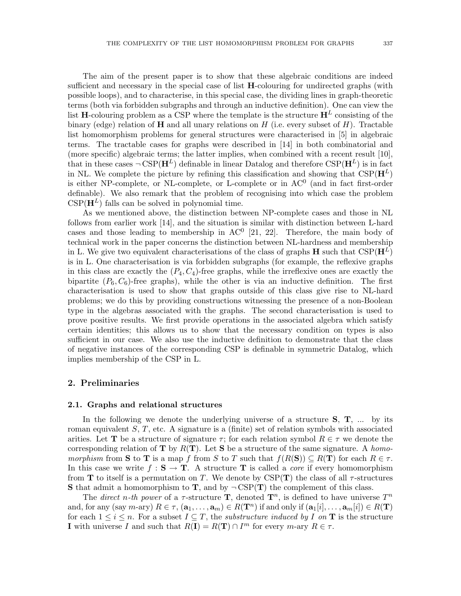The aim of the present paper is to show that these algebraic conditions are indeed sufficient and necessary in the special case of list  $H$ -colouring for undirected graphs (with possible loops), and to characterise, in this special case, the dividing lines in graph-theoretic terms (both via forbidden subgraphs and through an inductive definition). One can view the list H-colouring problem as a CSP where the template is the structure  $H^L$  consisting of the binary (edge) relation of  $\bf{H}$  and all unary relations on  $H$  (i.e. every subset of  $H$ ). Tractable list homomorphism problems for general structures were characterised in [5] in algebraic terms. The tractable cases for graphs were described in [14] in both combinatorial and (more specific) algebraic terms; the latter implies, when combined with a recent result [10], that in these cases  $\neg \text{CSP}(\mathbf{H}^L)$  definable in linear Datalog and therefore  $\text{CSP}(\mathbf{H}^L)$  is in fact in NL. We complete the picture by refining this classification and showing that  $CSP(\mathbf{H}^L)$ is either NP-complete, or NL-complete, or L-complete or in AC 0 (and in fact first-order definable). We also remark that the problem of recognising into which case the problem  $CSP(\mathbf{H}^L)$  falls can be solved in polynomial time.

As we mentioned above, the distinction between NP-complete cases and those in NL follows from earlier work [14], and the situation is similar with distinction between L-hard cases and those leading to membership in  $AC^0$  [21, 22]. Therefore, the main body of technical work in the paper concerns the distinction between NL-hardness and membership in L. We give two equivalent characterisations of the class of graphs  $\bf{H}$  such that CSP( $\bf{H}^L$ ) is in L. One characterisation is via forbidden subgraphs (for example, the reflexive graphs in this class are exactly the  $(P_4, C_4)$ -free graphs, while the irreflexive ones are exactly the bipartite  $(P_6, C_6)$ -free graphs), while the other is via an inductive definition. The first characterisation is used to show that graphs outside of this class give rise to NL-hard problems; we do this by providing constructions witnessing the presence of a non-Boolean type in the algebras associated with the graphs. The second characterisation is used to prove positive results. We first provide operations in the associated algebra which satisfy certain identities; this allows us to show that the necessary condition on types is also sufficient in our case. We also use the inductive definition to demonstrate that the class of negative instances of the corresponding CSP is definable in symmetric Datalog, which implies membership of the CSP in L.

#### 2. Preliminaries

#### 2.1. Graphs and relational structures

In the following we denote the underlying universe of a structure  $S, T, ...$  by its roman equivalent  $S, T$ , etc. A signature is a (finite) set of relation symbols with associated arities. Let **T** be a structure of signature  $\tau$ ; for each relation symbol  $R \in \tau$  we denote the corresponding relation of T by R(T). Let S be a structure of the same signature. A *homomorphism* from S to T is a map f from S to T such that  $f(R(S)) \subseteq R(T)$  for each  $R \in \tau$ . In this case we write  $f : S \to T$ . A structure T is called a *core* if every homomorphism from **T** to itself is a permutation on T. We denote by  $CSP(T)$  the class of all  $\tau$ -structures **S** that admit a homomorphism to **T**, and by  $\neg$  CSP(**T**) the complement of this class.

The *direct* n-th power of a  $\tau$ -structure **T**, denoted  $\mathbf{T}^n$ , is defined to have universe  $T^n$ and, for any (say m-ary)  $R \in \tau$ ,  $(\mathbf{a}_1, \ldots, \mathbf{a}_m) \in R(\mathbf{T}^n)$  if and only if  $(\mathbf{a}_1[i], \ldots, \mathbf{a}_m[i]) \in R(\mathbf{T})$ for each  $1 \leq i \leq n$ . For a subset  $I \subseteq T$ , the *substructure induced by* I on **T** is the structure **I** with universe I and such that  $R(\mathbf{I}) = R(\mathbf{T}) \cap I^m$  for every  $m$ -ary  $R \in \tau$ .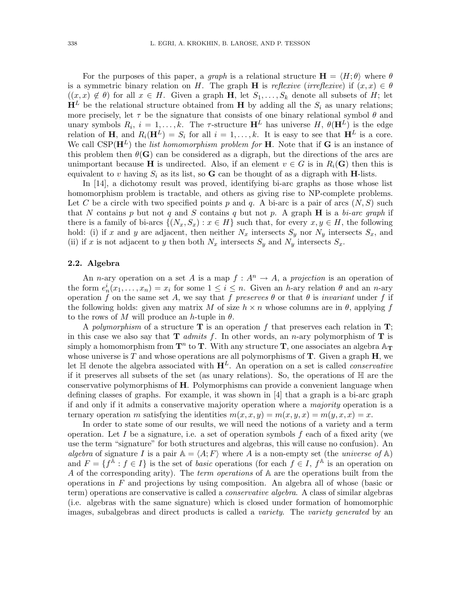For the purposes of this paper, a *graph* is a relational structure  $\mathbf{H} = \langle H; \theta \rangle$  where  $\theta$ is a symmetric binary relation on H. The graph **H** is *reflexive* (*irreflexive*) if  $(x, x) \in \theta$  $((x, x) \notin \theta)$  for all  $x \in H$ . Given a graph **H**, let  $S_1, \ldots, S_k$  denote all subsets of H; let  $\mathbf{H}^L$  be the relational structure obtained from **H** by adding all the  $S_i$  as unary relations; more precisely, let  $\tau$  be the signature that consists of one binary relational symbol  $\theta$  and unary symbols  $R_i$ ,  $i = 1, ..., k$ . The  $\tau$ -structure  $\mathbf{H}^L$  has universe H,  $\theta(\mathbf{H}^L)$  is the edge relation of H, and  $R_i(\mathbf{H}^L) = S_i$  for all  $i = 1, ..., k$ . It is easy to see that  $\mathbf{H}^L$  is a core. We call  $CSP(\mathbf{H}^{L})$  the *list homomorphism problem for* **H**. Note that if **G** is an instance of this problem then  $\theta(\mathbf{G})$  can be considered as a digraph, but the directions of the arcs are unimportant because **H** is undirected. Also, if an element  $v \in G$  is in  $R_i(G)$  then this is equivalent to v having  $S_i$  as its list, so **G** can be thought of as a digraph with **H**-lists.

In [14], a dichotomy result was proved, identifying bi-arc graphs as those whose list homomorphism problem is tractable, and others as giving rise to NP-complete problems. Let C be a circle with two specified points p and q. A bi-arc is a pair of arcs  $(N, S)$  such that N contains p but not q and S contains q but not p. A graph H is a *bi-arc graph* if there is a family of bi-arcs  $\{(N_x, S_x) : x \in H\}$  such that, for every  $x, y \in H$ , the following hold: (i) if x and y are adjacent, then neither  $N_x$  intersects  $S_y$  nor  $N_y$  intersects  $S_x$ , and (ii) if x is not adjacent to y then both  $N_x$  intersects  $S_y$  and  $N_y$  intersects  $S_x$ .

#### 2.2. Algebra

An *n*-ary operation on a set A is a map  $f: A^n \to A$ , a *projection* is an operation of the form  $e_n^i(x_1,\ldots,x_n) = x_i$  for some  $1 \leq i \leq n$ . Given an h-ary relation  $\theta$  and an n-ary operation f on the same set A, we say that f *preserves*  $\theta$  or that  $\theta$  is *invariant* under f if the following holds: given any matrix M of size  $h \times n$  whose columns are in  $\theta$ , applying f to the rows of M will produce an h-tuple in  $\theta$ .

A *polymorphism* of a structure  $\bf{T}$  is an operation f that preserves each relation in  $\bf{T}$ ; in this case we also say that  $\bf{T}$  *admits* f. In other words, an *n*-ary polymorphism of  $\bf{T}$  is simply a homomorphism from  $\mathbf{T}^n$  to  $\mathbf{T}$ . With any structure  $\mathbf{T}$ , one associates an algebra  $\mathbb{A}_{\mathbf{T}}$ whose universe is T and whose operations are all polymorphisms of  $\mathbf T$ . Given a graph  $\mathbf H$ , we let  $\mathbb H$  denote the algebra associated with  $\mathbf H^L$ . An operation on a set is called *conservative* if it preserves all subsets of the set (as unary relations). So, the operations of H are the conservative polymorphisms of H. Polymorphisms can provide a convenient language when defining classes of graphs. For example, it was shown in [4] that a graph is a bi-arc graph if and only if it admits a conservative majority operation where a *majority* operation is a ternary operation m satisfying the identities  $m(x, x, y) = m(x, y, x) = m(y, x, x) = x$ .

In order to state some of our results, we will need the notions of a variety and a term operation. Let I be a signature, i.e. a set of operation symbols  $f$  each of a fixed arity (we use the term "signature" for both structures and algebras, this will cause no confusion). An *algebra* of signature I is a pair  $A = \langle A; F \rangle$  where A is a non-empty set (the *universe of* A) and  $F = \{f^{\mathbb{A}} : f \in I\}$  is the set of *basic* operations (for each  $f \in I$ ,  $f^{\mathbb{A}}$  is an operation on A of the corresponding arity). The *term operations* of A are the operations built from the operations in  $F$  and projections by using composition. An algebra all of whose (basic or term) operations are conservative is called a *conservative algebra*. A class of similar algebras (i.e. algebras with the same signature) which is closed under formation of homomorphic images, subalgebras and direct products is called a *variety*. The *variety generated* by an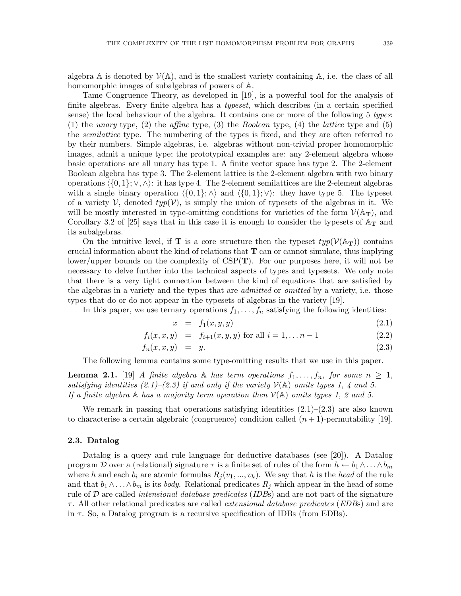algebra  $\mathbb A$  is denoted by  $\mathcal V(\mathbb A)$ , and is the smallest variety containing  $\mathbb A$ , i.e. the class of all homomorphic images of subalgebras of powers of A.

Tame Congruence Theory, as developed in [19], is a powerful tool for the analysis of finite algebras. Every finite algebra has a *typeset*, which describes (in a certain specified sense) the local behaviour of the algebra. It contains one or more of the following 5 *types*: (1) the *unary* type, (2) the *affine* type, (3) the *Boolean* type, (4) the *lattice* type and (5) the *semilattice* type. The numbering of the types is fixed, and they are often referred to by their numbers. Simple algebras, i.e. algebras without non-trivial proper homomorphic images, admit a unique type; the prototypical examples are: any 2-element algebra whose basic operations are all unary has type 1. A finite vector space has type 2. The 2-element Boolean algebra has type 3. The 2-element lattice is the 2-element algebra with two binary operations  $\langle \{0, 1\}; \vee, \wedge \rangle$ : it has type 4. The 2-element semilattices are the 2-element algebras with a single binary operation  $\langle 0, 1 \rangle$ ;  $\wedge$  and  $\langle 0, 1 \rangle$ ;  $\vee$ : they have type 5. The typeset of a variety  $\mathcal V$ , denoted  $typ(\mathcal V)$ , is simply the union of typesets of the algebras in it. We will be mostly interested in type-omitting conditions for varieties of the form  $\mathcal{V}(\mathbb{A}_{\mathbf{T}})$ , and Corollary 3.2 of [25] says that in this case it is enough to consider the typesets of  $A_T$  and its subalgebras.

On the intuitive level, if **T** is a core structure then the typeset  $typ(\mathcal{V}(\mathbb{A}_{T}))$  contains crucial information about the kind of relations that  $T$  can or cannot simulate, thus implying lower/upper bounds on the complexity of  $CSP(T)$ . For our purposes here, it will not be necessary to delve further into the technical aspects of types and typesets. We only note that there is a very tight connection between the kind of equations that are satisfied by the algebras in a variety and the types that are *admitted* or *omitted* by a variety, i.e. those types that do or do not appear in the typesets of algebras in the variety [19].

In this paper, we use ternary operations  $f_1, \ldots, f_n$  satisfying the following identities:

$$
x = f_1(x, y, y) \tag{2.1}
$$

$$
f_i(x, x, y) = f_{i+1}(x, y, y) \text{ for all } i = 1, \dots n-1
$$
 (2.2)

$$
f_n(x, x, y) = y. \tag{2.3}
$$

The following lemma contains some type-omitting results that we use in this paper.

**Lemma 2.1.** [19] *A finite algebra* A *has term operations*  $f_1, \ldots, f_n$ *, for some*  $n \geq 1$ *, satisfying identities (2.1)–(2.3) if and only if the variety*  $V(A)$  *omits types 1, 4 and 5. If a finite algebra* A *has a majority term operation then* V(A) *omits types 1, 2 and 5.*

We remark in passing that operations satisfying identities  $(2.1)$ – $(2.3)$  are also known to characterise a certain algebraic (congruence) condition called  $(n + 1)$ -permutability [19].

#### 2.3. Datalog

Datalog is a query and rule language for deductive databases (see [20]). A Datalog program D over a (relational) signature  $\tau$  is a finite set of rules of the form  $h \leftarrow b_1 \wedge \ldots \wedge b_m$ where h and each  $b_i$  are atomic formulas  $R_j(v_1, ..., v_k)$ . We say that h is the head of the rule and that  $b_1 \wedge \ldots \wedge b_m$  is its *body*. Relational predicates  $R_j$  which appear in the head of some rule of D are called *intensional database predicates* (*IDB*s) and are not part of the signature τ . All other relational predicates are called *extensional database predicates* (*EDB*s) and are in  $\tau$ . So, a Datalog program is a recursive specification of IDBs (from EDBs).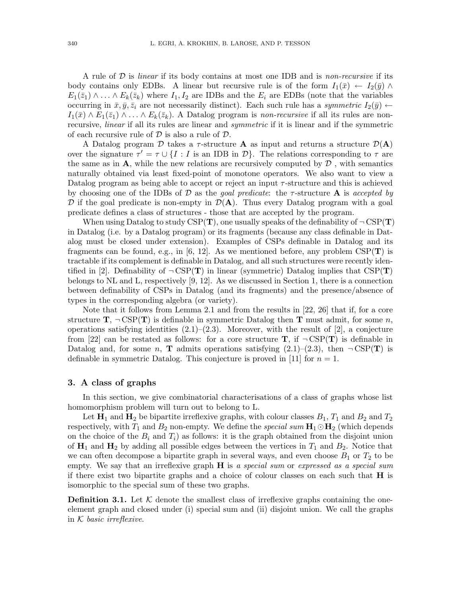A rule of D is *linear* if its body contains at most one IDB and is *non-recursive* if its body contains only EDBs. A linear but recursive rule is of the form  $I_1(\bar{x}) \leftarrow I_2(\bar{y}) \wedge$  $E_1(\bar{z}_1) \wedge \ldots \wedge E_k(\bar{z}_k)$  where  $I_1, I_2$  are IDBs and the  $E_i$  are EDBs (note that the variables occurring in  $\bar{x}, \bar{y}, \bar{z}_i$  are not necessarily distinct). Each such rule has a *symmetric*  $I_2(\bar{y}) \leftarrow$  $I_1(\bar{x}) \wedge E_1(\bar{z}_1) \wedge \ldots \wedge E_k(\bar{z}_k)$ . A Datalog program is *non-recursive* if all its rules are nonrecursive, *linear* if all its rules are linear and *symmetric* if it is linear and if the symmetric of each recursive rule of  $D$  is also a rule of  $D$ .

A Datalog program  $\mathcal D$  takes a  $\tau$ -structure **A** as input and returns a structure  $\mathcal D(A)$ over the signature  $\tau' = \tau \cup \{I : I \text{ is an IDB in } \mathcal{D}\}\$ . The relations corresponding to  $\tau$  are the same as in  $\bf{A}$ , while the new relations are recursively computed by  $\cal{D}$ , with semantics naturally obtained via least fixed-point of monotone operators. We also want to view a Datalog program as being able to accept or reject an input  $\tau$ -structure and this is achieved by choosing one of the IDBs of D as the *goal predicate*: the τ -structure A is *accepted by*  $\mathcal D$  if the goal predicate is non-empty in  $\mathcal D(A)$ . Thus every Datalog program with a goal predicate defines a class of structures - those that are accepted by the program.

When using Datalog to study  $CSP(T)$ , one usually speaks of the definability of  $\neg CSP(T)$ in Datalog (i.e. by a Datalog program) or its fragments (because any class definable in Datalog must be closed under extension). Examples of CSPs definable in Datalog and its fragments can be found, e.g., in [6, 12]. As we mentioned before, any problem  $CSP(T)$  is tractable if its complement is definable in Datalog, and all such structures were recently identified in [2]. Definability of  $\neg CSP(T)$  in linear (symmetric) Datalog implies that  $CSP(T)$ belongs to NL and L, respectively [9, 12]. As we discussed in Section 1, there is a connection between definability of CSPs in Datalog (and its fragments) and the presence/absence of types in the corresponding algebra (or variety).

Note that it follows from Lemma 2.1 and from the results in [22, 26] that if, for a core structure  $\mathbf{T}$ ,  $\neg$  CSP( $\mathbf{T}$ ) is definable in symmetric Datalog then T must admit, for some n, operations satisfying identities  $(2.1)$ – $(2.3)$ . Moreover, with the result of [2], a conjecture from [22] can be restated as follows: for a core structure  $\mathbf{T}$ , if  $\neg \text{CSP}(\mathbf{T})$  is definable in Datalog and, for some n, **T** admits operations satisfying  $(2.1)$ – $(2.3)$ , then  $\neg$ CSP(**T**) is definable in symmetric Datalog. This conjecture is proved in [11] for  $n = 1$ .

#### 3. A class of graphs

In this section, we give combinatorial characterisations of a class of graphs whose list homomorphism problem will turn out to belong to L.

Let  $\mathbf{H}_1$  and  $\mathbf{H}_2$  be bipartite irreflexive graphs, with colour classes  $B_1$ ,  $T_1$  and  $B_2$  and  $T_2$ respectively, with  $T_1$  and  $B_2$  non-empty. We define the *special sum*  $H_1 \odot H_2$  (which depends on the choice of the  $B_i$  and  $T_i$ ) as follows: it is the graph obtained from the disjoint union of  $\mathbf{H}_1$  and  $\mathbf{H}_2$  by adding all possible edges between the vertices in  $T_1$  and  $B_2$ . Notice that we can often decompose a bipartite graph in several ways, and even choose  $B_1$  or  $T_2$  to be empty. We say that an irreflexive graph H is *a special sum* or *expressed as a special sum* if there exist two bipartite graphs and a choice of colour classes on each such that  $H$  is isomorphic to the special sum of these two graphs.

**Definition 3.1.** Let  $K$  denote the smallest class of irreflexive graphs containing the oneelement graph and closed under (i) special sum and (ii) disjoint union. We call the graphs in K *basic irreflexive*.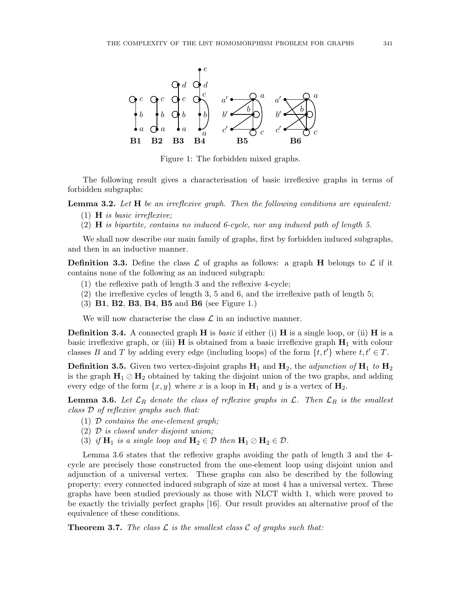

Figure 1: The forbidden mixed graphs.

The following result gives a characterisation of basic irreflexive graphs in terms of forbidden subgraphs:

Lemma 3.2. *Let* H *be an irreflexive graph. Then the following conditions are equivalent:*

- (1) H *is basic irreflexive;*
- (2) H *is bipartite, contains no induced 6-cycle, nor any induced path of length 5.*

We shall now describe our main family of graphs, first by forbidden induced subgraphs, and then in an inductive manner.

**Definition 3.3.** Define the class  $\mathcal{L}$  of graphs as follows: a graph **H** belongs to  $\mathcal{L}$  if it contains none of the following as an induced subgraph:

- (1) the reflexive path of length 3 and the reflexive 4-cycle;
- (2) the irreflexive cycles of length 3, 5 and 6, and the irreflexive path of length 5;
- (3) B1, B2, B3, B4, B5 and B6 (see Figure 1.)

We will now characterise the class  $\mathcal L$  in an inductive manner.

**Definition 3.4.** A connected graph **H** is *basic* if either (i) **H** is a single loop, or (ii) **H** is a basic irreflexive graph, or (iii)  $\bf{H}$  is obtained from a basic irreflexive graph  $\bf{H}_1$  with colour classes B and T by adding every edge (including loops) of the form  $\{t, t'\}$  where  $t, t' \in T$ .

**Definition 3.5.** Given two vertex-disjoint graphs  $H_1$  and  $H_2$ , the *adjunction of*  $H_1$  to  $H_2$ is the graph  $H_1 \oslash H_2$  obtained by taking the disjoint union of the two graphs, and adding every edge of the form  $\{x, y\}$  where x is a loop in  $H_1$  and y is a vertex of  $H_2$ .

**Lemma 3.6.** Let  $\mathcal{L}_R$  denote the class of reflexive graphs in  $\mathcal{L}$ . Then  $\mathcal{L}_R$  is the smallest *class* D *of reflexive graphs such that:*

- (1) D *contains the one-element graph;*
- (2) D *is closed under disjoint union;*
- (3) *if*  $H_1$  *is a single loop and*  $H_2 \in \mathcal{D}$  *then*  $H_1 \oslash H_2 \in \mathcal{D}$ *.*

Lemma 3.6 states that the reflexive graphs avoiding the path of length 3 and the 4 cycle are precisely those constructed from the one-element loop using disjoint union and adjunction of a universal vertex. These graphs can also be described by the following property: every connected induced subgraph of size at most 4 has a universal vertex. These graphs have been studied previously as those with NLCT width 1, which were proved to be exactly the trivially perfect graphs [16]. Our result provides an alternative proof of the equivalence of these conditions.

**Theorem 3.7.** The class  $\mathcal{L}$  is the smallest class  $\mathcal{C}$  of graphs such that: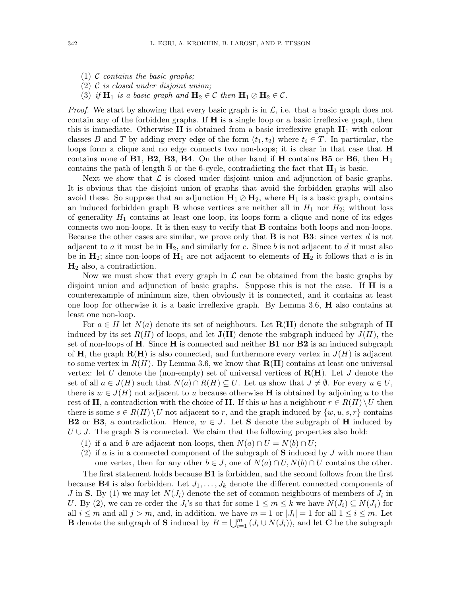- (1) C *contains the basic graphs;*
- (2) C *is closed under disjoint union;*
- (3) *if*  $H_1$  *is a basic graph and*  $H_2 \in \mathcal{C}$  *then*  $H_1 \oslash H_2 \in \mathcal{C}$ *.*

*Proof.* We start by showing that every basic graph is in  $\mathcal{L}$ , i.e. that a basic graph does not contain any of the forbidden graphs. If H is a single loop or a basic irreflexive graph, then this is immediate. Otherwise H is obtained from a basic irreflexive graph  $H_1$  with colour classes B and T by adding every edge of the form  $(t_1, t_2)$  where  $t_i \in T$ . In particular, the loops form a clique and no edge connects two non-loops; it is clear in that case that  $H$ contains none of **B1**, **B2**, **B3**, **B4**. On the other hand if **H** contains **B5** or **B6**, then  $H_1$ contains the path of length 5 or the 6-cycle, contradicting the fact that  $H_1$  is basic.

Next we show that  $\mathcal L$  is closed under disjoint union and adjunction of basic graphs. It is obvious that the disjoint union of graphs that avoid the forbidden graphs will also avoid these. So suppose that an adjunction  $H_1 \oslash H_2$ , where  $H_1$  is a basic graph, contains an induced forbidden graph **B** whose vertices are neither all in  $H_1$  nor  $H_2$ ; without loss of generality  $H_1$  contains at least one loop, its loops form a clique and none of its edges connects two non-loops. It is then easy to verify that B contains both loops and non-loops. Because the other cases are similar, we prove only that **B** is not **B3**: since vertex d is not adjacent to a it must be in  $H_2$ , and similarly for c. Since b is not adjacent to d it must also be in  $\mathbf{H}_2$ ; since non-loops of  $\mathbf{H}_1$  are not adjacent to elements of  $\mathbf{H}_2$  it follows that a is in  $H_2$  also, a contradiction.

Now we must show that every graph in  $\mathcal L$  can be obtained from the basic graphs by disjoint union and adjunction of basic graphs. Suppose this is not the case. If  $H$  is a counterexample of minimum size, then obviously it is connected, and it contains at least one loop for otherwise it is a basic irreflexive graph. By Lemma 3.6, H also contains at least one non-loop.

For  $a \in H$  let  $N(a)$  denote its set of neighbours. Let  $\mathbf{R}(\mathbf{H})$  denote the subgraph of H induced by its set  $R(H)$  of loops, and let  $J(H)$  denote the subgraph induced by  $J(H)$ , the set of non-loops of H. Since H is connected and neither  $B1$  nor  $B2$  is an induced subgraph of H, the graph  $\mathbf{R}(\mathbf{H})$  is also connected, and furthermore every vertex in  $J(H)$  is adjacent to some vertex in  $R(H)$ . By Lemma 3.6, we know that  $R(H)$  contains at least one universal vertex: let U denote the (non-empty) set of universal vertices of  $R(H)$ . Let J denote the set of all  $a \in J(H)$  such that  $N(a) \cap R(H) \subseteq U$ . Let us show that  $J \neq \emptyset$ . For every  $u \in U$ , there is  $w \in J(H)$  not adjacent to u because otherwise **H** is obtained by adjoining u to the rest of H, a contradiction with the choice of H. If this w has a neighbour  $r \in R(H) \setminus U$  then there is some  $s \in R(H) \backslash U$  not adjacent to r, and the graph induced by  $\{w, u, s, r\}$  contains **B2** or **B3**, a contradiction. Hence,  $w \in J$ . Let **S** denote the subgraph of **H** induced by  $U \cup J$ . The graph S is connected. We claim that the following properties also hold:

- (1) if a and b are adjacent non-loops, then  $N(a) \cap U = N(b) \cap U$ ;
- (2) if a is in a connected component of the subgraph of  $S$  induced by J with more than one vertex, then for any other  $b \in J$ , one of  $N(a) \cap U$ ,  $N(b) \cap U$  contains the other.

The first statement holds because **B1** is forbidden, and the second follows from the first because **B4** is also forbidden. Let  $J_1, \ldots, J_k$  denote the different connected components of J in S. By (1) we may let  $N(J_i)$  denote the set of common neighbours of members of  $J_i$  in U. By (2), we can re-order the  $J_i$ 's so that for some  $1 \leq m \leq k$  we have  $N(J_i) \subseteq N(J_j)$  for all  $i \leq m$  and all  $j > m$ , and, in addition, we have  $m = 1$  or  $|J_i| = 1$  for all  $1 \leq i \leq m$ . Let **B** denote the subgraph of **S** induced by  $B = \bigcup_{i=1}^{m} (J_i \cup N(J_i))$ , and let **C** be the subgraph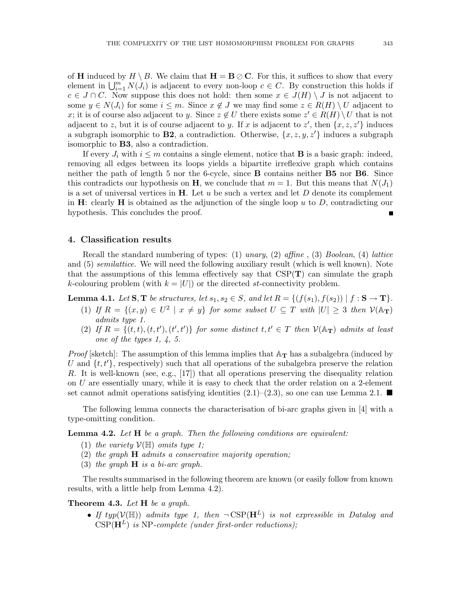of **H** induced by  $H \setminus B$ . We claim that  $H = B \oslash C$ . For this, it suffices to show that every element in  $\bigcup_{i=1}^m N(\dot{J}_i)$  is adjacent to every non-loop  $c \in C$ . By construction this holds if  $c \in J \cap C$ . Now suppose this does not hold: then some  $x \in J(H) \setminus J$  is not adjacent to some  $y \in N(J_i)$  for some  $i \leq m$ . Since  $x \notin J$  we may find some  $z \in R(H) \setminus U$  adjacent to x; it is of course also adjacent to y. Since  $z \notin U$  there exists some  $z' \in R(H) \setminus U$  that is not adjacent to z, but it is of course adjacent to y. If x is adjacent to z', then  $\{x, z, z'\}$  induces a subgraph isomorphic to **B2**, a contradiction. Otherwise,  $\{x, z, y, z'\}$  induces a subgraph isomorphic to B3, also a contradiction.

If every  $J_i$  with  $i \leq m$  contains a single element, notice that **B** is a basic graph: indeed, removing all edges between its loops yields a bipartite irreflexive graph which contains neither the path of length 5 nor the 6-cycle, since B contains neither B5 nor B6. Since this contradicts our hypothesis on H, we conclude that  $m = 1$ . But this means that  $N(J_1)$ is a set of universal vertices in  $H$ . Let u be such a vertex and let D denote its complement in H: clearly H is obtained as the adjunction of the single loop  $u$  to  $D$ , contradicting our hypothesis. This concludes the proof.

#### 4. Classification results

Recall the standard numbering of types: (1) *unary*, (2) *affine* , (3) *Boolean*, (4) *lattice* and (5) *semilattice*. We will need the following auxiliary result (which is well known). Note that the assumptions of this lemma effectively say that  $CSP(T)$  can simulate the graph k-colouring problem (with  $k = |U|$ ) or the directed st-connectivity problem.

**Lemma 4.1.** Let  $S, T$  be structures, let  $s_1, s_2 \in S$ , and let  $R = \{ (f(s_1), f(s_2)) \mid f : S \to T \}$ .

- (1) *If*  $R = \{(x, y) \in U^2 \mid x \neq y\}$  *for some subset*  $U \subseteq T$  *with*  $|U| \geq 3$  *then*  $V(\mathbb{A}_T)$ *admits type 1.*
- (2) If  $R = \{(t, t), (t, t'), (t', t')\}$  for some distinct  $t, t' \in T$  then  $\mathcal{V}(\mathbb{A}_T)$  admits at least *one of the types 1, 4, 5.*

*Proof* [sketch]: The assumption of this lemma implies that  $A_T$  has a subalgebra (induced by U and  $\{t, t'\}$ , respectively) such that all operations of the subalgebra preserve the relation R. It is well-known (see, e.g., [17]) that all operations preserving the disequality relation on U are essentially unary, while it is easy to check that the order relation on a 2-element set cannot admit operations satisfying identities  $(2.1)$ – $(2.3)$ , so one can use Lemma 2.1.

The following lemma connects the characterisation of bi-arc graphs given in [4] with a type-omitting condition.

Lemma 4.2. *Let* H *be a graph. Then the following conditions are equivalent:*

- (1) *the variety*  $V(\mathbb{H})$  *omits type 1;*
- (2) *the graph* H *admits a conservative majority operation;*
- (3) *the graph* H *is a bi-arc graph.*

The results summarised in the following theorem are known (or easily follow from known results, with a little help from Lemma 4.2).

#### Theorem 4.3. *Let* H *be a graph.*

• If typ( $V(\mathbb{H})$ ) *admits type 1, then*  $\neg CSP(\mathbf{H}^L)$  *is not expressible in Datalog and*  $CSP(\mathbf{H}^{L})$  *is* NP-complete (under first-order reductions);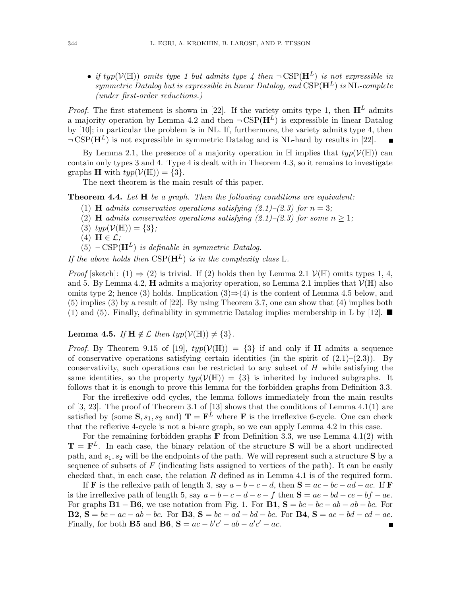• *if typ*( $V(\mathbb{H})$ ) *omits type 1 but admits type 4 then*  $\neg$ CSP( $\mathbf{H}^{L}$ ) *is not expressible in symmetric Datalog but is expressible in linear Datalog, and*  $CSP(\mathbf{H}^L)$  *is* NL-*complete (under first-order reductions.)*

*Proof.* The first statement is shown in [22]. If the variety omits type 1, then  $\mathbf{H}^{L}$  admits a majority operation by Lemma 4.2 and then  $\neg CSP(\mathbf{H}^L)$  is expressible in linear Datalog by [10]; in particular the problem is in NL. If, furthermore, the variety admits type 4, then  $\neg CSP(\mathbf{H}^L)$  is not expressible in symmetric Datalog and is NL-hard by results in [22].

By Lemma 2.1, the presence of a majority operation in  $\mathbb H$  implies that  $typ(\mathcal V(\mathbb H))$  can contain only types 3 and 4. Type 4 is dealt with in Theorem 4.3, so it remains to investigate graphs **H** with  $typ(V(\mathbb{H})) = \{3\}.$ 

The next theorem is the main result of this paper.

Theorem 4.4. *Let* H *be a graph. Then the following conditions are equivalent:*

- (1) **H** *admits conservative operations satisfying*  $(2.1)$ *–* $(2.3)$  *for*  $n = 3$ *;*
- (2) **H** *admits conservative operations satisfying (2.1)–(2.3) for some*  $n \geq 1$ ;
- (3)  $typ(\mathcal{V}(\mathbb{H})) = \{3\};$
- (4)  $H \in \mathcal{L}$ ;
- $(5)$   $\neg$  CSP( $\mathbf{H}^{L}$ ) *is definable in symmetric Datalog.*

*If the above holds then*  $CSP(\mathbf{H}^L)$  *is in the complexity class* L.

*Proof* [sketch]: (1)  $\Rightarrow$  (2) is trivial. If (2) holds then by Lemma 2.1  $V(\mathbb{H})$  omits types 1, 4, and 5. By Lemma 4.2, **H** admits a majority operation, so Lemma 2.1 implies that  $V(\mathbb{H})$  also omits type 2; hence (3) holds. Implication  $(3) \Rightarrow (4)$  is the content of Lemma 4.5 below, and (5) implies (3) by a result of [22]. By using Theorem 3.7, one can show that (4) implies both (1) and (5). Finally, definability in symmetric Datalog implies membership in L by [12].  $\blacksquare$ 

#### **Lemma 4.5.** *If*  $H \notin \mathcal{L}$  *then*  $typ(\mathcal{V}(\mathbb{H})) \neq \{3\}.$

*Proof.* By Theorem 9.15 of [19],  $typ(\mathcal{V}(\mathbb{H})) = \{3\}$  if and only if **H** admits a sequence of conservative operations satisfying certain identities (in the spirit of  $(2.1)$ – $(2.3)$ ). By conservativity, such operations can be restricted to any subset of  $H$  while satisfying the same identities, so the property  $typ(\mathcal{V}(\mathbb{H})) = \{3\}$  is inherited by induced subgraphs. It follows that it is enough to prove this lemma for the forbidden graphs from Definition 3.3.

For the irreflexive odd cycles, the lemma follows immediately from the main results of  $[3, 23]$ . The proof of Theorem 3.1 of  $[13]$  shows that the conditions of Lemma 4.1(1) are satisfied by (some  $S, s_1, s_2$  and)  $T = F^L$  where F is the irreflexive 6-cycle. One can check that the reflexive 4-cycle is not a bi-arc graph, so we can apply Lemma 4.2 in this case.

For the remaining forbidden graphs **F** from Definition 3.3, we use Lemma  $4.1(2)$  with  $\mathbf{T} = \mathbf{F}^{L}$ . In each case, the binary relation of the structure **S** will be a short undirected path, and  $s_1, s_2$  will be the endpoints of the path. We will represent such a structure S by a sequence of subsets of  $F$  (indicating lists assigned to vertices of the path). It can be easily checked that, in each case, the relation  $R$  defined as in Lemma 4.1 is of the required form.

If **F** is the reflexive path of length 3, say  $a - b - c - d$ , then  $S = ac - bc - ad - ac$ . If **F** is the irreflexive path of length 5, say  $a - b - c - d - e - f$  then  $S = ae - bd - ce - bf - ae$ . For graphs  $B1 - B6$ , we use notation from Fig. 1. For  $B1$ ,  $S = bc - bc - ab - ab - bc$ . For **B2**,  $S = bc - ac - ab - bc$ . For **B3**,  $S = bc - ad - bd - bc$ . For **B4**,  $S = ae - bd - cd - ae$ . Finally, for both **B5** and **B6**,  $S = ac - b'c' - ab - a'c' - ac$ .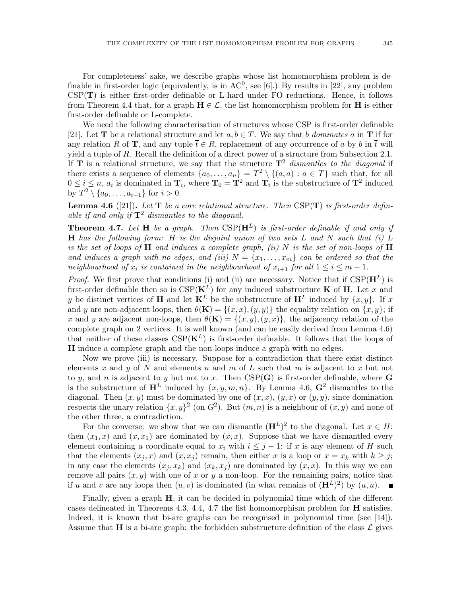For completeness' sake, we describe graphs whose list homomorphism problem is definable in first-order logic (equivalently, is in  $AC^0$ , see [6].) By results in [22], any problem CSP(T) is either first-order definable or L-hard under FO reductions. Hence, it follows from Theorem 4.4 that, for a graph  $H \in \mathcal{L}$ , the list homomorphism problem for H is either first-order definable or L-complete.

We need the following characterisation of structures whose CSP is first-order definable [21]. Let **T** be a relational structure and let  $a, b \in T$ . We say that b *dominates* a in **T** if for any relation R of T, and any tuple  $\bar{t} \in R$ , replacement of any occurrence of a by b in  $\bar{t}$  will yield a tuple of  $R$ . Recall the definition of a direct power of a structure from Subsection 2.1. If **T** is a relational structure, we say that the structure  $T^2$  *dismantles to the diagonal* if there exists a sequence of elements  $\{a_0, \ldots, a_n\} = T^2 \setminus \{(a, a) : a \in T\}$  such that, for all  $0 \le i \le n$ ,  $a_i$  is dominated in  $\mathbf{T}_i$ , where  $\mathbf{T}_0 = \mathbf{T}^2$  and  $\mathbf{T}_i$  is the substructure of  $\mathbf{T}^2$  induced by  $T^2 \setminus \{a_0, \ldots, a_{i-1}\}\$ for  $i > 0$ .

Lemma 4.6 ([21]). *Let* T *be a core relational structure. Then* CSP(T) *is first-order definable if and only if*  $\mathbf{T}^2$  *dismantles to the diagonal.* 

**Theorem 4.7.** Let **H** be a graph. Then  $CSP(\mathbf{H}^L)$  is first-order definable if and only if H *has the following form:* H *is the disjoint union of two sets* L *and* N *such that (i)* L *is the set of loops of* H *and induces a complete graph, (ii)* N *is the set of non-loops of* H and induces a graph with no edges, and (iii)  $N = \{x_1, \ldots, x_m\}$  can be ordered so that the *neighbourhood of*  $x_i$  *is contained in the neighbourhood of*  $x_{i+1}$  *for all*  $1 \leq i \leq m-1$ *.* 

*Proof.* We first prove that conditions (i) and (ii) are necessary. Notice that if  $CSP(\mathbf{H}^L)$  is first-order definable then so is  $CSP(K^L)$  for any induced substructure **K** of **H**. Let x and y be distinct vertices of **H** and let  $\mathbf{K}^L$  be the substructure of  $\mathbf{H}^L$  induced by  $\{x, y\}$ . If x and y are non-adjacent loops, then  $\theta(\mathbf{K}) = \{(x, x), (y, y)\}\$ the equality relation on  $\{x, y\}$ ; if x and y are adjacent non-loops, then  $\theta(\mathbf{K}) = \{(x, y), (y, x)\}\,$ , the adjacency relation of the complete graph on 2 vertices. It is well known (and can be easily derived from Lemma 4.6) that neither of these classes  $CSP(K^L)$  is first-order definable. It follows that the loops of H induce a complete graph and the non-loops induce a graph with no edges.

Now we prove (iii) is necessary. Suppose for a contradiction that there exist distinct elements x and y of N and elements n and m of L such that m is adjacent to x but not to y, and n is adjacent to y but not to x. Then  $CSP(G)$  is first-order definable, where G is the substructure of  $H^L$  induced by  $\{x, y, m, n\}$ . By Lemma 4.6,  $G^2$  dismantles to the diagonal. Then  $(x, y)$  must be dominated by one of  $(x, x)$ ,  $(y, x)$  or  $(y, y)$ , since domination respects the unary relation  $\{x, y\}^2$  (on  $G^2$ ). But  $(m, n)$  is a neighbour of  $(x, y)$  and none of the other three, a contradiction.

For the converse: we show that we can dismantle  $(\mathbf{H}^{L})^2$  to the diagonal. Let  $x \in H$ : then  $(x_1, x)$  and  $(x, x_1)$  are dominated by  $(x, x)$ . Suppose that we have dismantled every element containing a coordinate equal to  $x_i$  with  $i \leq j - 1$ : if x is any element of H such that the elements  $(x_i, x)$  and  $(x, x_i)$  remain, then either x is a loop or  $x = x_k$  with  $k \geq j$ ; in any case the elements  $(x_i, x_k)$  and  $(x_k, x_j)$  are dominated by  $(x, x)$ . In this way we can remove all pairs  $(x, y)$  with one of x or y a non-loop. For the remaining pairs, notice that if u and v are any loops then  $(u, v)$  is dominated (in what remains of  $(\mathbf{H}^{L})^2$ ) by  $(u, u)$ .  $\begin{array}{c} \hline \end{array}$ 

Finally, given a graph H, it can be decided in polynomial time which of the different cases delineated in Theorems 4.3, 4.4, 4.7 the list homomorphism problem for  $\bf{H}$  satisfies. Indeed, it is known that bi-arc graphs can be recognised in polynomial time (see [14]). Assume that **H** is a bi-arc graph: the forbidden substructure definition of the class  $\mathcal{L}$  gives